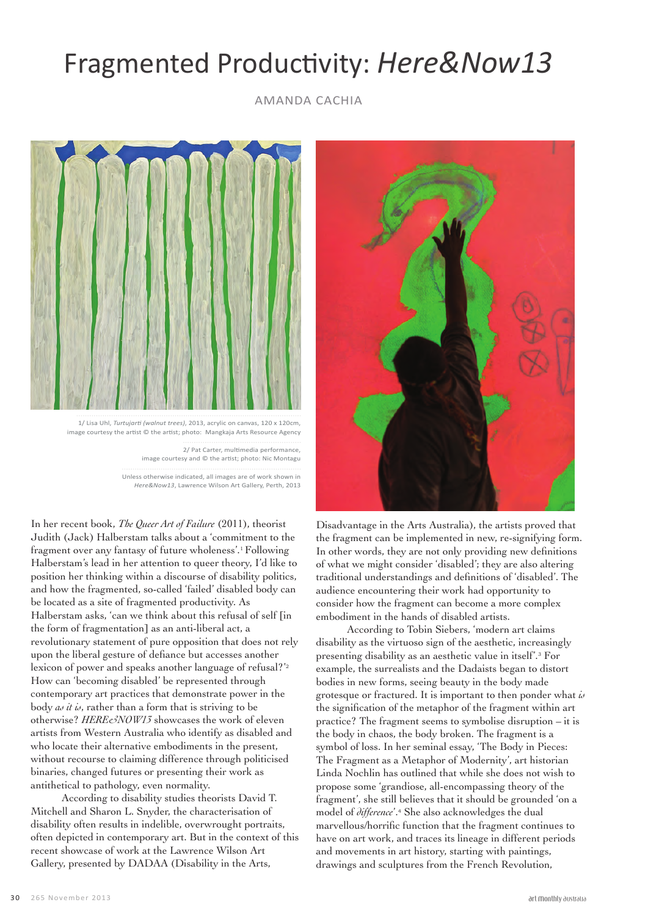## Fragmented Productivity: *Here&Now13*

AMANDA CACHIA



 1/ Lisa Uhl, *Turtujarti (walnut trees)*, 2013, acrylic on canvas, 120 x 120cm, image courtesy the artist © the artist; photo: Mangkaja Arts Resource Agency

> 2/ Pat Carter, multimedia performance, image courtesy and © the artist; photo: Nic Montagu

Unless otherwise indicated, all images are of work shown in *Here&Now13*, Lawrence Wilson Art Gallery, Perth, 2013

In her recent book, *The Queer Art of Failure* (2011), theorist Judith (Jack) Halberstam talks about a 'commitment to the fragment over any fantasy of future wholeness'.1 Following Halberstam's lead in her attention to queer theory, I'd like to position her thinking within a discourse of disability politics, and how the fragmented, so-called 'failed' disabled body can be located as a site of fragmented productivity. As Halberstam asks, 'can we think about this refusal of self [in the form of fragmentation] as an anti-liberal act, a revolutionary statement of pure opposition that does not rely upon the liberal gesture of defiance but accesses another lexicon of power and speaks another language of refusal?'<sup>2</sup> How can 'becoming disabled' be represented through contemporary art practices that demonstrate power in the body *as it is*, rather than a form that is striving to be otherwise? *HERE&NOW13* showcases the work of eleven artists from Western Australia who identify as disabled and who locate their alternative embodiments in the present, without recourse to claiming difference through politicised binaries, changed futures or presenting their work as antithetical to pathology, even normality.

According to disability studies theorists David T. Mitchell and Sharon L. Snyder, the characterisation of disability often results in indelible, overwrought portraits, often depicted in contemporary art. But in the context of this recent showcase of work at the Lawrence Wilson Art Gallery, presented by DADAA (Disability in the Arts,



Disadvantage in the Arts Australia), the artists proved that the fragment can be implemented in new, re-signifying form. In other words, they are not only providing new definitions of what we might consider 'disabled'; they are also altering traditional understandings and definitions of 'disabled'. The audience encountering their work had opportunity to consider how the fragment can become a more complex embodiment in the hands of disabled artists.

According to Tobin Siebers, 'modern art claims disability as the virtuoso sign of the aesthetic, increasingly presenting disability as an aesthetic value in itself'.3 For example, the surrealists and the Dadaists began to distort bodies in new forms, seeing beauty in the body made grotesque or fractured. It is important to then ponder what *is* the signification of the metaphor of the fragment within art practice? The fragment seems to symbolise disruption – it is the body in chaos, the body broken. The fragment is a symbol of loss. In her seminal essay, 'The Body in Pieces: The Fragment as a Metaphor of Modernity', art historian Linda Nochlin has outlined that while she does not wish to propose some 'grandiose, all-encompassing theory of the fragment', she still believes that it should be grounded 'on a model of *difference*'.4 She also acknowledges the dual marvellous/horrific function that the fragment continues to have on art work, and traces its lineage in different periods and movements in art history, starting with paintings, drawings and sculptures from the French Revolution,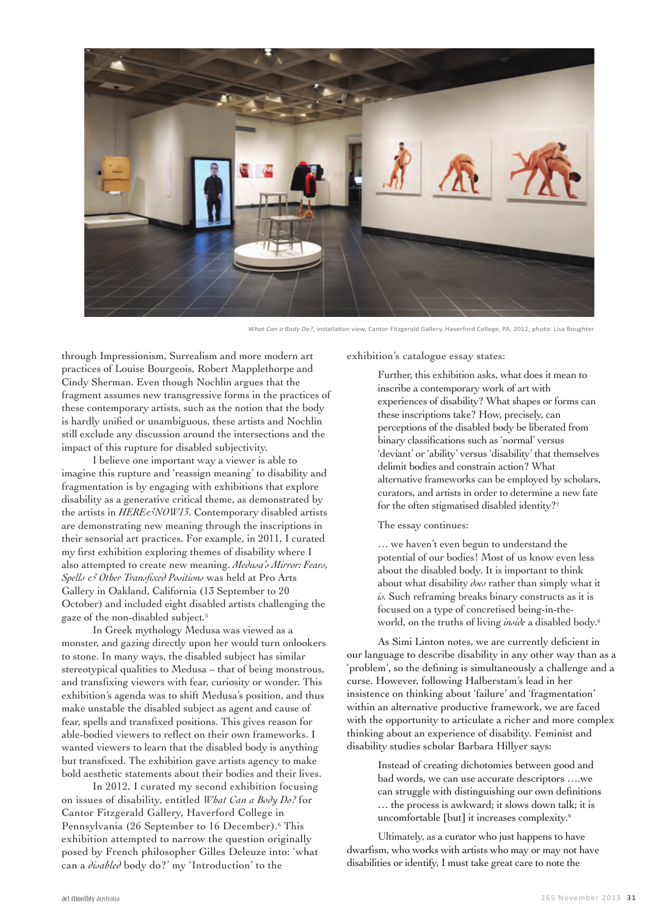

*What Can a Body Do?*, installation view, Cantor Fitzgerald Gallery, Haverford College, PA, 2012; photo: Lisa Boughter

through Impressionism, Surrealism and more modern art practices of Louise Bourgeois, Robert Mapplethorpe and Cindy Sherman. Even though Nochlin argues that the fragment assumes new transgressive forms in the practices of these contemporary artists, such as the notion that the body is hardly unified or unambiguous, these artists and Nochlin still exclude any discussion around the intersections and the impact of this rupture for disabled subjectivity.

I believe one important way a viewer is able to imagine this rupture and 'reassign meaning' to disability and fragmentation is by engaging with exhibitions that explore disability as a generative critical theme, as demonstrated by the artists in *HERE&NOW13*. Contemporary disabled artists are demonstrating new meaning through the inscriptions in their sensorial art practices. For example, in 2011, I curated my first exhibition exploring themes of disability where I also attempted to create new meaning. *Medusa's Mirror: Fears, Spells & Other Transfixed Positions* was held at Pro Arts Gallery in Oakland, California (13 September to 20 October) and included eight disabled artists challenging the gaze of the non-disabled subject*.* 5

In Greek mythology Medusa was viewed as a monster, and gazing directly upon her would turn onlookers to stone. In many ways, the disabled subject has similar stereotypical qualities to Medusa – that of being monstrous, and transfixing viewers with fear, curiosity or wonder. This exhibition's agenda was to shift Medusa's position, and thus make unstable the disabled subject as agent and cause of fear, spells and transfixed positions. This gives reason for able-bodied viewers to reflect on their own frameworks. I wanted viewers to learn that the disabled body is anything but transfixed. The exhibition gave artists agency to make bold aesthetic statements about their bodies and their lives.

In 2012, I curated my second exhibition focusing on issues of disability, entitled *What Can a Body Do?* for Cantor Fitzgerald Gallery, Haverford College in Pennsylvania (26 September to 16 December).<sup>6</sup> This exhibition attempted to narrow the question originally posed by French philosopher Gilles Deleuze into: 'what can a *disabled* body do?' my 'Introduction' to the

exhibition's catalogue essay states:

Further, this exhibition asks, what does it mean to inscribe a contemporary work of art with experiences of disability? What shapes or forms can these inscriptions take? How, precisely, can perceptions of the disabled body be liberated from binary classifications such as 'normal' versus 'deviant' or 'ability' versus 'disability' that themselves delimit bodies and constrain action? What alternative frameworks can be employed by scholars, curators, and artists in order to determine a new fate for the often stigmatised disabled identity?7

## The essay continues:

… we haven't even begun to understand the potential of our bodies! Most of us know even less about the disabled body. It is important to think about what disability *does* rather than simply what it *is.* Such reframing breaks binary constructs as it is focused on a type of concretised being-in-theworld, on the truths of living *inside* a disabled body. 8

As Simi Linton notes, we are currently deficient in our language to describe disability in any other way than as a 'problem', so the defining is simultaneously a challenge and a curse. However, following Halberstam's lead in her insistence on thinking about 'failure' and 'fragmentation' within an alternative productive framework, we are faced with the opportunity to articulate a richer and more complex thinking about an experience of disability. Feminist and disability studies scholar Barbara Hillyer says:

> Instead of creating dichotomies between good and bad words, we can use accurate descriptors ….we can struggle with distinguishing our own definitions … the process is awkward; it slows down talk; it is uncomfortable [but] it increases complexity.<sup>9</sup>

Ultimately, as a curator who just happens to have dwarfism, who works with artists who may or may not have disabilities or identify, I must take great care to note the